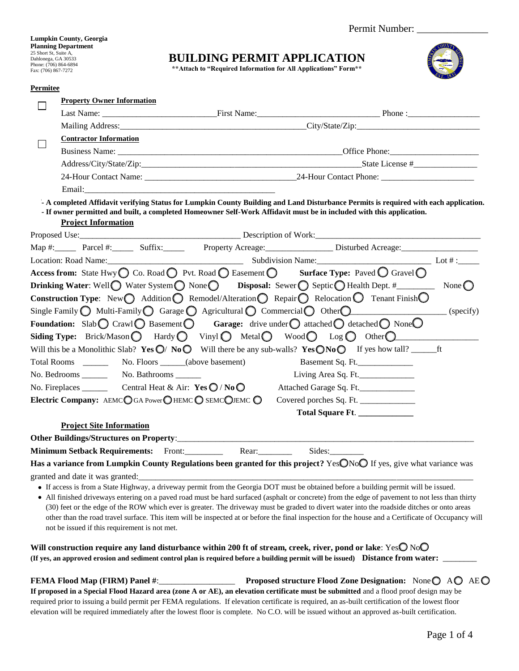**Lumpkin County, Georgia Planning Department**  25 Short St, Suite A, Dahlonega, GA 30533 Phone: (706) 864-6894 Fax: (706) 8

 $\mathbb{R}^{\text{high}}$ 

## **BUILDING PERMIT APPLICATION**

| Phone: (706) 864-6894<br>Fax: (706) 867-7272 |                                               | ** Attach to "Required Information for All Applications" Form**                           |                                                                                                                                                                                                                                                              |  |
|----------------------------------------------|-----------------------------------------------|-------------------------------------------------------------------------------------------|--------------------------------------------------------------------------------------------------------------------------------------------------------------------------------------------------------------------------------------------------------------|--|
| Permitee                                     |                                               |                                                                                           |                                                                                                                                                                                                                                                              |  |
|                                              | <b>Property Owner Information</b>             |                                                                                           |                                                                                                                                                                                                                                                              |  |
|                                              |                                               |                                                                                           |                                                                                                                                                                                                                                                              |  |
|                                              |                                               |                                                                                           |                                                                                                                                                                                                                                                              |  |
|                                              | <b>Contractor Information</b>                 |                                                                                           |                                                                                                                                                                                                                                                              |  |
|                                              |                                               |                                                                                           |                                                                                                                                                                                                                                                              |  |
|                                              |                                               |                                                                                           |                                                                                                                                                                                                                                                              |  |
|                                              |                                               |                                                                                           |                                                                                                                                                                                                                                                              |  |
|                                              |                                               |                                                                                           |                                                                                                                                                                                                                                                              |  |
|                                              | <b>Project Information</b>                    |                                                                                           | - A completed Affidavit verifying Status for Lumpkin County Building and Land Disturbance Permits is required with each application.<br>- If owner permitted and built, a completed Homeowner Self-Work Affidavit must be in included with this application. |  |
|                                              |                                               |                                                                                           |                                                                                                                                                                                                                                                              |  |
|                                              |                                               |                                                                                           |                                                                                                                                                                                                                                                              |  |
|                                              |                                               |                                                                                           | Location: Road Name: Lot #: Location: Road Name: Lot #: Lot #: Lot #: Lot #: Lot #: Lot #: Lot #: Lot #: Lot #                                                                                                                                               |  |
|                                              |                                               |                                                                                           | Access from: State Hwy $\bigcirc$ Co. Road $\bigcirc$ Pvt. Road $\bigcirc$ Easement $\bigcirc$ Surface Type: Paved $\bigcirc$ Gravel $\bigcirc$                                                                                                              |  |
|                                              |                                               |                                                                                           | <b>Drinking Water:</b> Well Water System $\bigcirc$ None Disposal: Sewer Septic Health Dept. #__________ None $\bigcirc$                                                                                                                                     |  |
|                                              |                                               |                                                                                           | <b>Construction Type:</b> New $\bigcirc$ Addition $\bigcirc$ Remodel/Alteration $\bigcirc$ Repair $\bigcirc$ Relocation $\bigcirc$ Tenant Finish $\bigcirc$                                                                                                  |  |
|                                              |                                               |                                                                                           | Single Family $\bigcirc$ Multi-Family $\bigcirc$ Garage $\bigcirc$ Agricultural $\bigcirc$ Commercial $\bigcirc$ Other $\bigcirc$ (specify)                                                                                                                  |  |
|                                              |                                               |                                                                                           | Foundation: Slab $\bigcirc$ Crawl $\bigcirc$ Basement $\bigcirc$ Garage: drive under $\bigcirc$ attached $\bigcirc$ detached $\bigcirc$ None $\bigcirc$                                                                                                      |  |
|                                              |                                               |                                                                                           |                                                                                                                                                                                                                                                              |  |
|                                              |                                               |                                                                                           |                                                                                                                                                                                                                                                              |  |
|                                              |                                               |                                                                                           | Basement Sq. Ft.                                                                                                                                                                                                                                             |  |
|                                              |                                               |                                                                                           | Living Area Sq. Ft.                                                                                                                                                                                                                                          |  |
|                                              |                                               | No. Fireplaces ___________ Central Heat & Air: $\text{Yes} \bigcirc / \text{No} \bigcirc$ | Attached Garage Sq. Ft.                                                                                                                                                                                                                                      |  |
|                                              |                                               | Electric Company: AEMCO GA Power O HEMCO SEMCOJEMCO                                       | Covered porches Sq. Ft. ____________                                                                                                                                                                                                                         |  |
|                                              |                                               |                                                                                           | Total Square Ft. _____________                                                                                                                                                                                                                               |  |
|                                              | <b>Project Site Information</b>               |                                                                                           |                                                                                                                                                                                                                                                              |  |
|                                              |                                               | Other Buildings/Structures on Property:                                                   |                                                                                                                                                                                                                                                              |  |
|                                              | Minimum Setback Requirements: Front:          | Rear:                                                                                     | Sides:                                                                                                                                                                                                                                                       |  |
|                                              |                                               |                                                                                           | Has a variance from Lumpkin County Regulations been granted for this project? YesONoO If yes, give what variance was                                                                                                                                         |  |
|                                              | granted and date it was granted:              |                                                                                           |                                                                                                                                                                                                                                                              |  |
|                                              |                                               |                                                                                           | • If access is from a State Highway, a driveway permit from the Georgia DOT must be obtained before a building permit will be issued.                                                                                                                        |  |
|                                              |                                               |                                                                                           | • All finished driveways entering on a paved road must be hard surfaced (asphalt or concrete) from the edge of pavement to not less than thirty                                                                                                              |  |
|                                              |                                               |                                                                                           | (30) feet or the edge of the ROW which ever is greater. The driveway must be graded to divert water into the roadside ditches or onto areas                                                                                                                  |  |
|                                              | not be issued if this requirement is not met. |                                                                                           | other than the road travel surface. This item will be inspected at or before the final inspection for the house and a Certificate of Occupancy will                                                                                                          |  |
|                                              |                                               |                                                                                           |                                                                                                                                                                                                                                                              |  |
|                                              |                                               |                                                                                           | Will construction require any land disturbance within 200 ft of stream, creek, river, pond or lake: YesO NoO                                                                                                                                                 |  |
|                                              |                                               |                                                                                           | (If yes, an approved erosion and sediment control plan is required before a building permit will be issued) Distance from water:                                                                                                                             |  |
|                                              |                                               |                                                                                           |                                                                                                                                                                                                                                                              |  |
|                                              |                                               |                                                                                           | <b>Proposed structure Flood Zone Designation:</b> None $\bigcirc$ A $\bigcirc$ AE $\bigcirc$                                                                                                                                                                 |  |

**If proposed in a Special Flood Hazard area (zone A or AE), an elevation certificate must be submitted** and a flood proof design may be required prior to issuing a build permit per FEMA regulations. If elevation certificate is required, an as-built certification of the lowest floor elevation will be required immediately after the lowest floor is complete. No C.O. will be issued without an approved as-built certification.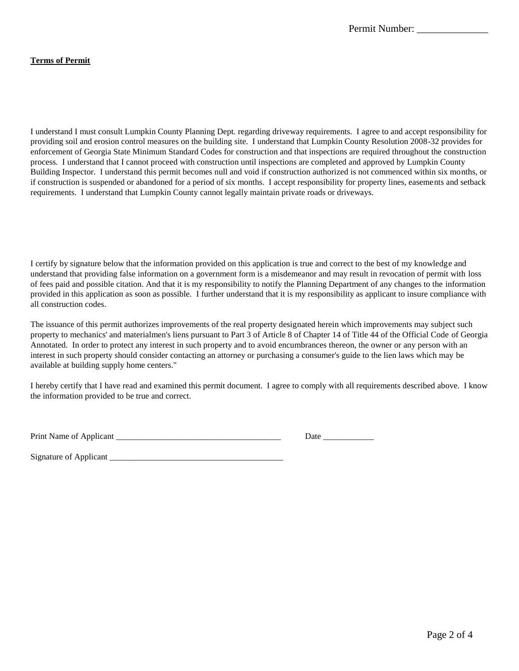#### **Terms of Permit**

I understand I must consult Lumpkin County Planning Dept. regarding driveway requirements. I agree to and accept responsibility for providing soil and erosion control measures on the building site. I understand that Lumpkin County Resolution 2008-32 provides for enforcement of Georgia State Minimum Standard Codes for construction and that inspections are required throughout the construction process. I understand that I cannot proceed with construction until inspections are completed and approved by Lumpkin County Building Inspector. I understand this permit becomes null and void if construction authorized is not commenced within six months, or if construction is suspended or abandoned for a period of six months. I accept responsibility for property lines, easements and setback requirements. I understand that Lumpkin County cannot legally maintain private roads or driveways.

I certify by signature below that the information provided on this application is true and correct to the best of my knowledge and understand that providing false information on a government form is a misdemeanor and may result in revocation of permit with loss of fees paid and possible citation. And that it is my responsibility to notify the Planning Department of any changes to the information provided in this application as soon as possible. I further understand that it is my responsibility as applicant to insure compliance with all construction codes.

The issuance of this permit authorizes improvements of the real property designated herein which improvements may subject such property to mechanics' and materialmen's liens pursuant to Part 3 of Article 8 of Chapter 14 of Title 44 of the Official Code of Georgia Annotated. In order to protect any interest in such property and to avoid encumbrances thereon, the owner or any person with an interest in such property should consider contacting an attorney or purchasing a consumer's guide to the lien laws which may be available at building supply home centers."

I hereby certify that I have read and examined this permit document. I agree to comply with all requirements described above. I know the information provided to be true and correct.

| Print Name of Applicant |  | Jatı |  |
|-------------------------|--|------|--|
|                         |  |      |  |

Signature of Applicant \_\_\_\_\_\_\_\_\_\_\_\_\_\_\_\_\_\_\_\_\_\_\_\_\_\_\_\_\_\_\_\_\_\_\_\_\_\_\_\_\_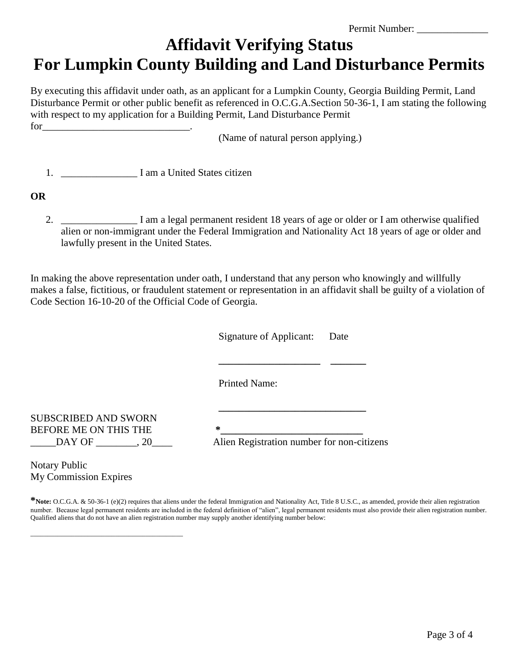Permit Number:

## **Affidavit Verifying Status For Lumpkin County Building and Land Disturbance Permits**

By executing this affidavit under oath, as an applicant for a Lumpkin County, Georgia Building Permit, Land Disturbance Permit or other public benefit as referenced in O.C.G.A.Section 50-36-1, I am stating the following with respect to my application for a Building Permit, Land Disturbance Permit

(Name of natural person applying.)

1. **I am a United States citizen** 

### **OR**

 $for \qquad$ 

2. \_\_\_\_\_\_\_\_\_\_\_\_\_\_\_ I am a legal permanent resident 18 years of age or older or I am otherwise qualified alien or non-immigrant under the Federal Immigration and Nationality Act 18 years of age or older and lawfully present in the United States.

In making the above representation under oath, I understand that any person who knowingly and willfully makes a false, fictitious, or fraudulent statement or representation in an affidavit shall be guilty of a violation of Code Section 16-10-20 of the Official Code of Georgia.

 Signature of Applicant: Date **\_\_\_\_\_\_\_\_\_\_\_\_\_\_\_\_\_\_\_\_ \_\_\_\_\_\_\_**  Printed Name: **\_\_\_\_\_\_\_\_\_\_\_\_\_\_\_\_\_\_\_\_\_\_\_\_\_\_\_\_\_**

SUBSCRIBED AND SWORN BEFORE ME ON THIS THE **\*\_\_\_\_\_\_\_\_\_\_\_\_\_\_\_\_\_\_\_\_\_\_\_\_\_\_\_\_**

\_\_\_\_\_\_\_\_\_\_\_\_\_\_\_\_\_\_\_\_\_\_\_\_\_\_\_\_\_\_\_\_\_\_\_\_\_\_\_\_\_\_\_\_\_

\_\_\_\_\_DAY OF \_\_\_\_\_\_\_\_, 20\_\_\_\_ Alien Registration number for non-citizens

Notary Public My Commission Expires

**\*Note:** O.C.G.A. & 50-36-1 (e)(2) requires that aliens under the federal Immigration and Nationality Act, Title 8 U.S.C., as amended, provide their alien registration number. Because legal permanent residents are included in the federal definition of "alien", legal permanent residents must also provide their alien registration number. Qualified aliens that do not have an alien registration number may supply another identifying number below: